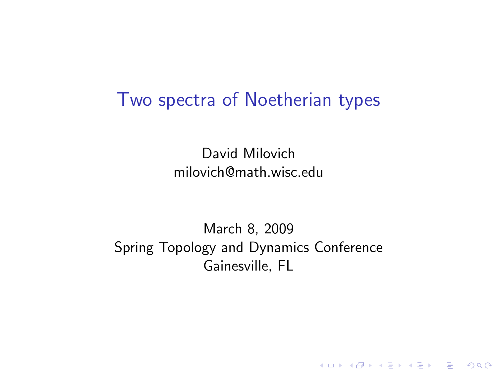### Two spectra of Noetherian types

David Milovich milovich@math.wisc.edu

March 8, 2009 Spring Topology and Dynamics Conference Gainesville, FL

K ロ ▶ K @ ▶ K 할 > K 할 > 1 할 > 1 이익어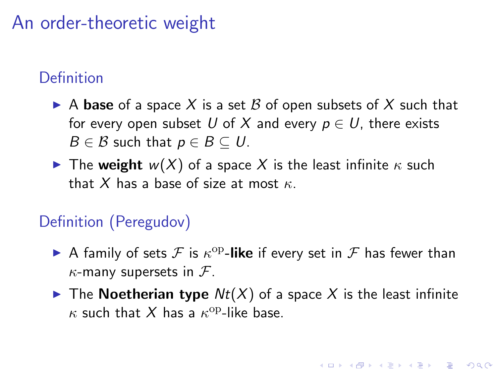## An order-theoretic weight

### Definition

- A base of a space X is a set B of open subsets of X such that for every open subset U of X and every  $p \in U$ , there exists  $B \in \mathcal{B}$  such that  $p \in B \subseteq U$ .
- The weight  $w(X)$  of a space X is the least infinite  $\kappa$  such that X has a base of size at most  $\kappa$ .

#### Definition (Peregudov)

- A family of sets  $\mathcal F$  is  $\kappa^{\mathrm{op}}$ -like if every set in  $\mathcal F$  has fewer than  $\kappa$ -many supersets in  $\mathcal{F}$ .
- $\blacktriangleright$  The Noetherian type  $Nt(X)$  of a space X is the least infinite  $\kappa$  such that  $X$  has a  $\kappa^{\rm op}\text{-like}$  base.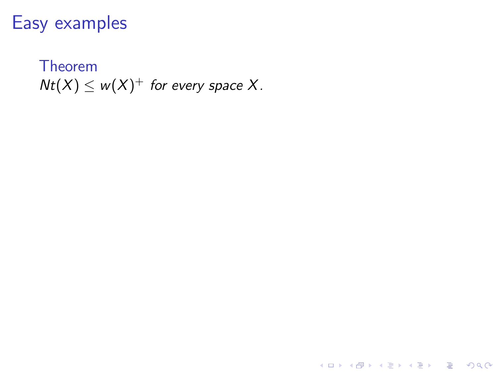### Easy examples

Theorem  $Nt(X) \leq w(X)^+$  for every space X.

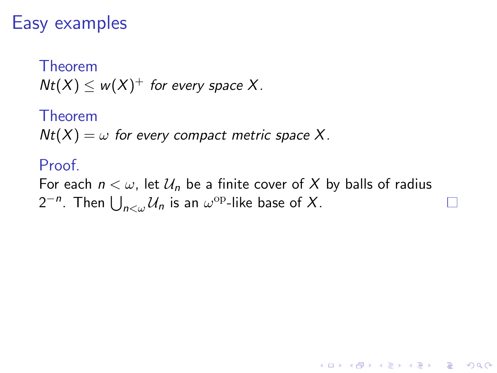### Easy examples

Theorem  $Nt(X) \leq w(X)^+$  for every space X.

Theorem  $Nt(X) = \omega$  for every compact metric space X.

#### Proof.

For each  $n < \omega$ , let  $\mathcal{U}_n$  be a finite cover of X by balls of radius  $2^{-n}$ . Then  $\bigcup_{n<\omega}\mathcal{U}_n$  is an  $\omega^{\mathrm{op}}$ -like base of  $X$ .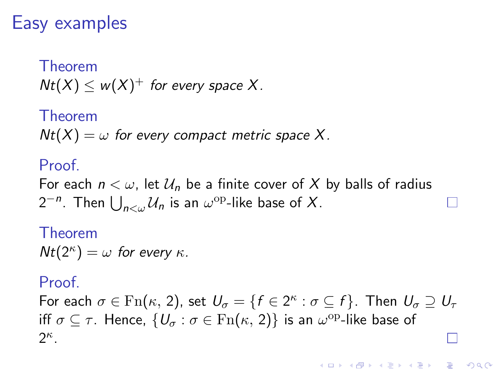## Easy examples

Theorem  $Nt(X) \leq w(X)^+$  for every space X.

Theorem  $Nt(X) = \omega$  for every compact metric space X.

#### Proof.

For each  $n < \omega$ , let  $\mathcal{U}_n$  be a finite cover of X by balls of radius  $2^{-n}$ . Then  $\bigcup_{n<\omega}\mathcal{U}_n$  is an  $\omega^{\mathrm{op}}$ -like base of  $X$ .

### Theorem  $Nt(2^{\kappa}) = \omega$  for every  $\kappa$ .

#### Proof.

For each  $\sigma \in \mathrm{Fn}(\kappa, 2)$ , set  $U_{\sigma} = \{f \in 2^{\kappa} : \sigma \subseteq f\}$ . Then  $U_{\sigma} \supseteq U_{\tau}$ iff  $\sigma \subseteq \tau$ . Hence,  $\{U_\sigma : \sigma \in \mathrm{Fn}(\kappa, 2)\}$  is an  $\omega^{\mathrm{op}}$ -like base of  $2^{\kappa}$ .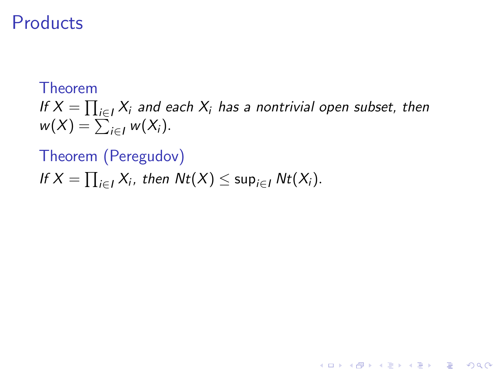## **Products**

### Theorem If  $X = \prod_{i \in I} X_i$  and each  $X_i$  has a nontrivial open subset, then  $w(X) = \sum_{i \in I} w(X_i).$

K ロ ▶ K @ ▶ K 할 > K 할 > 1 할 > 1 이익어

#### Theorem (Peregudov)

If 
$$
X = \prod_{i \in I} X_i
$$
, then  $Nt(X) \le \sup_{i \in I} Nt(X_i)$ .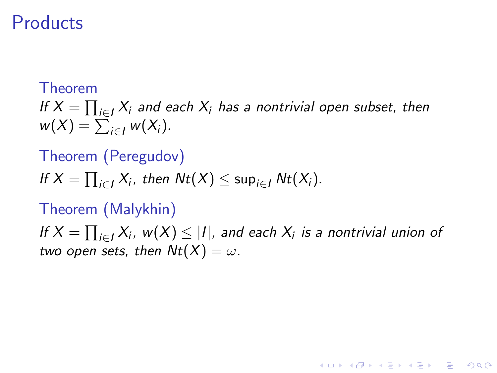### **Products**

#### Theorem

If  $X = \prod_{i \in I} X_i$  and each  $X_i$  has a nontrivial open subset, then  $w(X) = \sum_{i \in I} w(X_i).$ 

#### Theorem (Peregudov)

If 
$$
X = \prod_{i \in I} X_i
$$
, then  $Nt(X) \le \sup_{i \in I} Nt(X_i)$ .

#### Theorem (Malykhin)

If  $X=\prod_{i\in I}X_i$ ,  $w(X)\leq |I|$ , and each  $X_i$  is a nontrivial union of two open sets, then  $Nt(X) = \omega$ .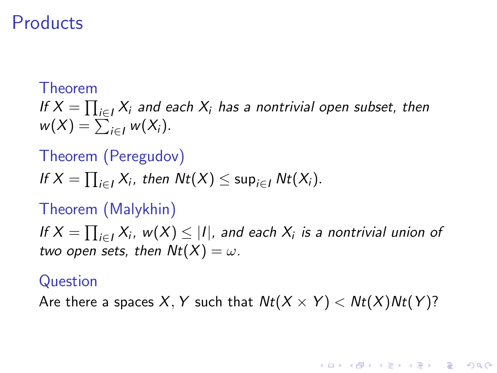### **Products**

#### Theorem

If  $X = \prod_{i \in I} X_i$  and each  $X_i$  has a nontrivial open subset, then  $w(X) = \sum_{i \in I} w(X_i).$ 

#### Theorem (Peregudov)

If 
$$
X = \prod_{i \in I} X_i
$$
, then  $Nt(X) \le \sup_{i \in I} Nt(X_i)$ .

#### Theorem (Malykhin)

If  $X=\prod_{i\in I}X_i$ ,  $w(X)\leq |I|$ , and each  $X_i$  is a nontrivial union of two open sets, then  $Nt(X) = \omega$ .

#### Question

Are there a spaces X, Y such that  $Nt(X \times Y) < Nt(X)Nt(Y)$ ?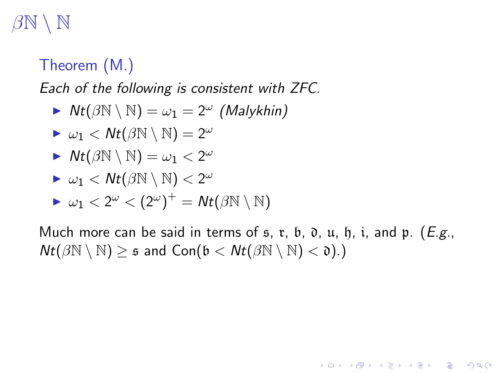# $\sqrt{\rm N}$

### Theorem (M.)

Each of the following is consistent with ZFC.

$$
\blacktriangleright \; Nt(\beta\mathbb{N} \setminus \mathbb{N}) = \omega_1 = 2^{\omega} \; (Malykhin)
$$

$$
\blacktriangleright \omega_1 < \mathcal{N}t(\beta \mathbb{N} \setminus \mathbb{N}) = 2^{\omega}
$$

$$
\blacktriangleright \; \mathit{Nt}(\beta \mathbb{N} \setminus \mathbb{N}) = \omega_1 < 2^\omega
$$

$$
\blacktriangleright \omega_1 < \mathcal{N}t(\beta{\mathbb N} \setminus {\mathbb N}) < 2^\omega
$$

$$
\blacktriangleright \omega_1 < 2^\omega < (2^\omega)^+ = \mathsf{N} t (\beta \mathbb{N} \setminus \mathbb{N})
$$

Much more can be said in terms of  $s, r, b, \mathfrak{d}, u, \mathfrak{h}, i$ , and  $\mathfrak{p}$ . (*E.g.*,  $Nt(\beta\mathbb{N} \setminus \mathbb{N}) \geq \mathfrak{s}$  and  $Con(\mathfrak{b} < Nt(\beta\mathbb{N} \setminus \mathbb{N}) < \mathfrak{d}).$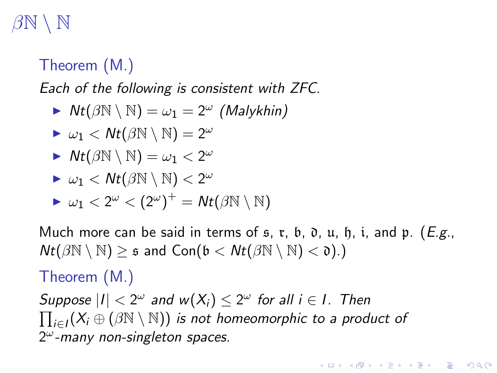# $\setminus \mathbb{N}$

### Theorem (M.)

Each of the following is consistent with ZFC.

$$
\blacktriangleright \; Nt(\beta\mathbb{N} \setminus \mathbb{N}) = \omega_1 = 2^{\omega} \; (Malykhin)
$$

$$
\blacktriangleright \omega_1 < \mathcal{N}t(\beta \mathbb{N} \setminus \mathbb{N}) = 2^{\omega}
$$

$$
\blacktriangleright \; \mathit{Nt}(\beta \mathbb{N} \setminus \mathbb{N}) = \omega_1 < 2^\omega
$$

$$
\blacktriangleright \omega_1 < \mathcal{N}t(\beta{\mathbb N} \setminus {\mathbb N}) < 2^\omega
$$

$$
\blacktriangleright \omega_1 < 2^\omega < (2^\omega)^+ = \mathsf{N} t(\beta \mathbb{N} \setminus \mathbb{N})
$$

Much more can be said in terms of  $\mathfrak s$ ,  $\mathfrak r$ ,  $\mathfrak b$ ,  $\mathfrak d$ ,  $\mathfrak u$ ,  $\mathfrak h$ ,  $\mathfrak i$ , and  $\mathfrak p$ . (*E.g.*,  $Nt(\beta\mathbb{N} \setminus \mathbb{N}) \geq \mathfrak{s}$  and  $Con(\mathfrak{b} < Nt(\beta\mathbb{N} \setminus \mathbb{N}) < \mathfrak{d})$ .

#### Theorem (M.)

Suppose  $|I| < 2^{\omega}$  and  $w(X_i) \leq 2^{\omega}$  for all  $i \in I$ . Then  $\prod_{i\in I} (X_i \oplus (\beta{\mathbb N}\setminus{\mathbb N}))$  is not homeomorphic to a product of  $2^{\omega}$ -many non-singleton spaces.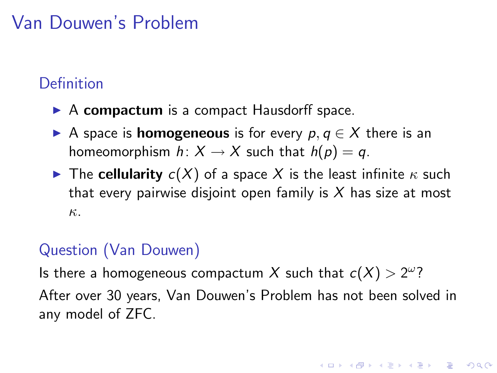## Van Douwen's Problem

### Definition

- $\triangleright$  A compactum is a compact Hausdorff space.
- A space is **homogeneous** is for every  $p, q \in X$  there is an homeomorphism  $h: X \to X$  such that  $h(p) = q$ .
- The cellularity  $c(X)$  of a space X is the least infinite  $\kappa$  such that every pairwise disjoint open family is  $X$  has size at most κ.

### Question (Van Douwen)

Is there a homogeneous compactum X such that  $c(X) > 2^{\omega}$ ? After over 30 years, Van Douwen's Problem has not been solved in any model of ZFC.

**K ロ ▶ K @ ▶ K 할 X X 할 X 및 할 X X Q Q O**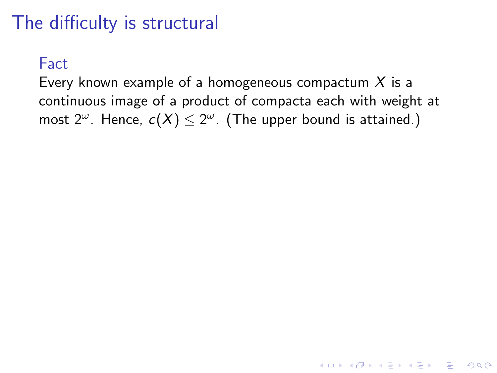# The difficulty is structural

#### Fact

Every known example of a homogeneous compactum  $X$  is a continuous image of a product of compacta each with weight at most 2<sup> $\omega$ </sup>. Hence,  $c(X) \leq 2^{\omega}$ . (The upper bound is attained.)

**K ロ ▶ K @ ▶ K 할 X X 할 X 및 할 X X Q Q O**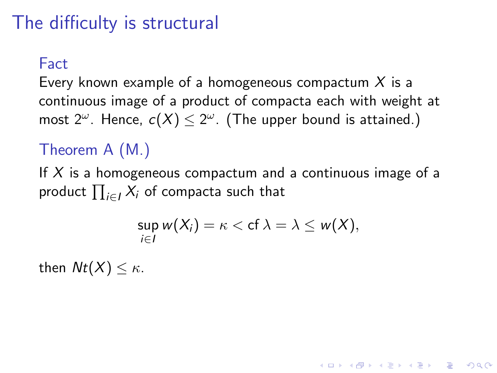# The difficulty is structural

#### **Fact**

Every known example of a homogeneous compactum  $X$  is a continuous image of a product of compacta each with weight at most 2<sup> $\omega$ </sup>. Hence,  $c(X) \leq 2^{\omega}$ . (The upper bound is attained.)

### Theorem A (M.)

If  $X$  is a homogeneous compactum and a continuous image of a product  $\prod_{i\in I} X_i$  of compacta such that

$$
\sup_{i\in I} w(X_i)=\kappa < \mathrm{cf} \,\lambda=\lambda \leq w(X),
$$

**KORKAR KERKER E VOOR** 

then  $Nt(X) < \kappa$ .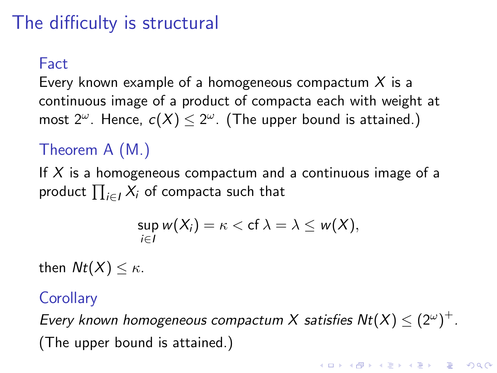# The difficulty is structural

#### **Fact**

Every known example of a homogeneous compactum  $X$  is a continuous image of a product of compacta each with weight at most 2<sup> $\omega$ </sup>. Hence,  $c(X) \leq 2^{\omega}$ . (The upper bound is attained.)

### Theorem A (M.)

If  $X$  is a homogeneous compactum and a continuous image of a product  $\prod_{i\in I} X_i$  of compacta such that

$$
\sup_{i\in I} w(X_i)=\kappa < \mathrm{cf} \,\lambda=\lambda\leq w(X),
$$

then  $Nt(X) < \kappa$ .

#### **Corollary**

Every known homogeneous compactum X satisfies  $Nt(X) \leq (2^{\omega})^{+}$ . (The upper bound is attained.)

KID KA KERKER E VOOR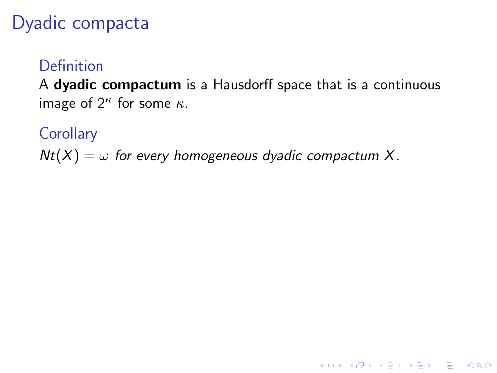## Dyadic compacta

### Definition

A dyadic compactum is a Hausdorff space that is a continuous image of  $2^{\kappa}$  for some  $\kappa$ .

K ロ ▶ K @ ▶ K 할 > K 할 > 1 할 > 1 이익어

**Corollary** 

 $Nt(X) = \omega$  for every homogeneous dyadic compactum X.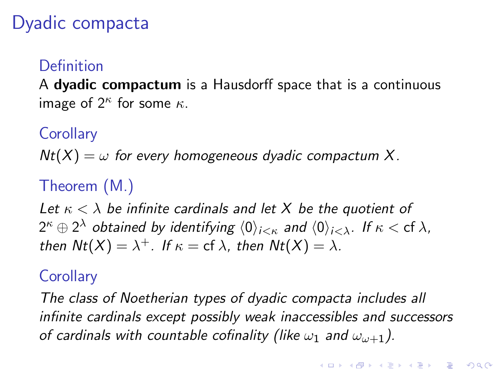## Dyadic compacta

#### Definition

A dyadic compactum is a Hausdorff space that is a continuous image of  $2^{\kappa}$  for some  $\kappa$ .

**Corollary** 

 $Nt(X) = \omega$  for every homogeneous dyadic compactum X.

## Theorem (M.)

Let  $\kappa < \lambda$  be infinite cardinals and let X be the quotient of  $2^\kappa\oplus 2^\lambda$  obtained by identifying  $\langle 0\rangle_{i<\kappa}$  and  $\langle 0\rangle_{i<\lambda}$ . If  $\kappa<$  cf  $\lambda,$ then  $Nt(X) = \lambda^+$ . If  $\kappa = \text{cf } \lambda$ , then  $Nt(X) = \lambda$ .

### **Corollarv**

The class of Noetherian types of dyadic compacta includes all infinite cardinals except possibly weak inaccessibles and successors of cardinals with countable cofinality (like  $\omega_1$  and  $\omega_{\omega+1}$ ).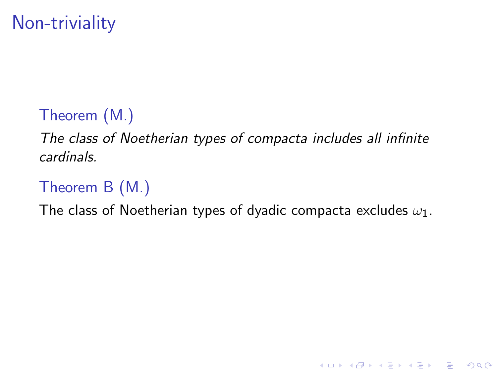# Non-triviality

## Theorem (M.)

The class of Noetherian types of compacta includes all infinite cardinals.

## Theorem B (M.)

The class of Noetherian types of dyadic compacta excludes  $\omega_1$ .

K ロ ▶ K @ ▶ K 할 > K 할 > 1 할 > 1 이익어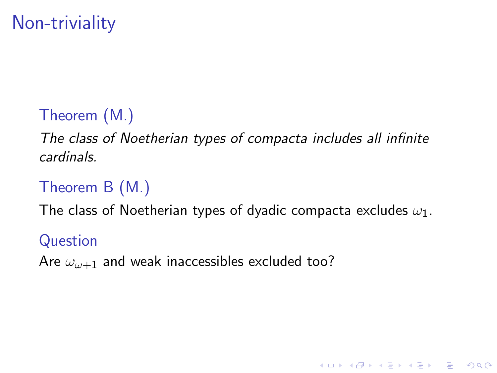# Non-triviality

## Theorem (M.)

The class of Noetherian types of compacta includes all infinite cardinals.

### Theorem B (M.)

The class of Noetherian types of dyadic compacta excludes  $\omega_1$ .

K ロ ▶ K @ ▶ K 할 > K 할 > 1 할 > 1 이익어

#### Question

Are  $\omega_{\omega+1}$  and weak inaccessibles excluded too?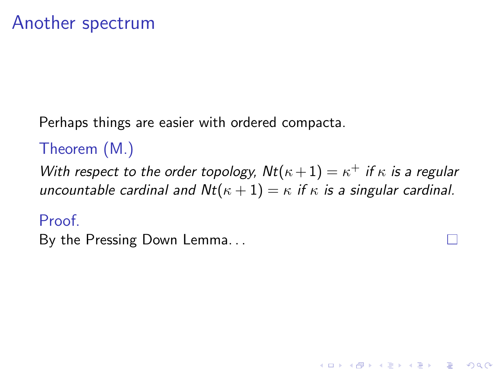Perhaps things are easier with ordered compacta.

## Theorem (M.)

With respect to the order topology,  $Nt(\kappa+1) = \kappa^+$  if  $\kappa$  is a regular uncountable cardinal and  $Nt(\kappa + 1) = \kappa$  if  $\kappa$  is a singular cardinal.

**KORK ERKER ADE YOUR** 

#### Proof.

By the Pressing Down Lemma. . .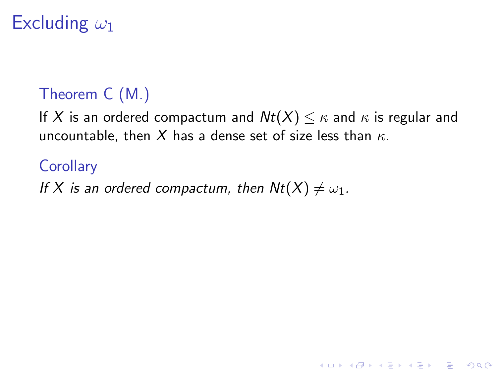# Excluding  $\omega_1$

### Theorem C (M.)

If X is an ordered compactum and  $Nt(X) \leq \kappa$  and  $\kappa$  is regular and uncountable, then X has a dense set of size less than  $\kappa$ .

K ロ ▶ K @ ▶ K 할 > K 할 > 1 할 > 1 이익어

### **Corollary**

If X is an ordered compactum, then  $Nt(X) \neq \omega_1$ .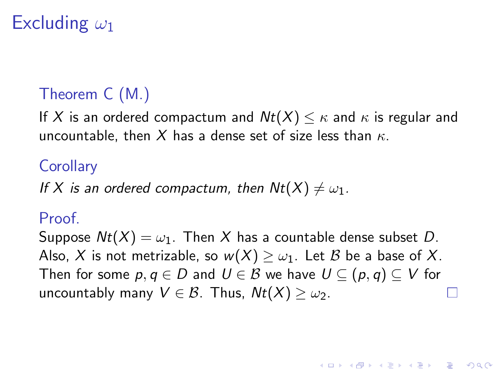# Excluding  $\omega_1$

### Theorem C (M.)

If X is an ordered compactum and  $Nt(X) \leq \kappa$  and  $\kappa$  is regular and uncountable, then X has a dense set of size less than  $\kappa$ .

### **Corollary**

If X is an ordered compactum, then  $Nt(X) \neq \omega_1$ .

#### Proof.

Suppose  $Nt(X) = \omega_1$ . Then X has a countable dense subset D. Also, X is not metrizable, so  $w(X) \geq \omega_1$ . Let B be a base of X. Then for some  $p, q \in D$  and  $U \in \mathcal{B}$  we have  $U \subseteq (p, q) \subseteq V$  for uncountably many  $V \in \mathcal{B}$ . Thus,  $Nt(X) \geq \omega_2$ .

**KORKAR KERKER E VOOR**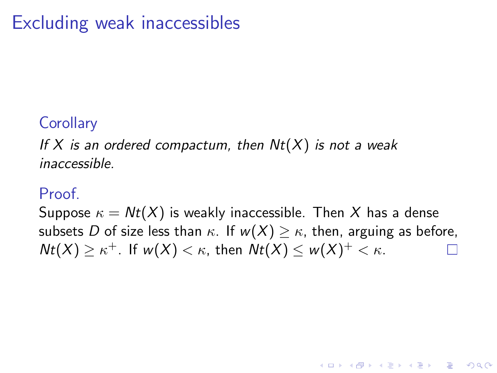# Excluding weak inaccessibles

### **Corollary**

If X is an ordered compactum, then  $Nt(X)$  is not a weak inaccessible.

#### Proof.

Suppose  $\kappa = Nt(X)$  is weakly inaccessible. Then X has a dense subsets D of size less than  $\kappa$ . If  $w(X) \geq \kappa$ , then, arguing as before,  $Nt(X) \geq \kappa^+$ . If  $w(X) < \kappa$ , then  $Nt(X) \leq w(X)^+ < \kappa$ .

**KORKARA KERKER SAGA**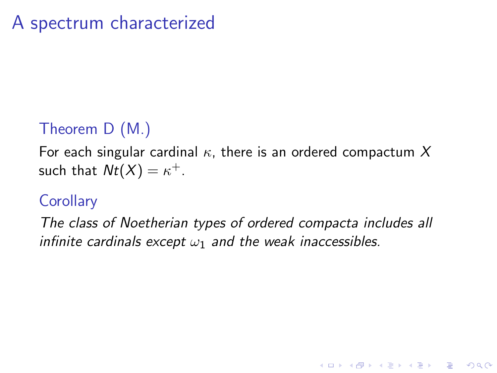### Theorem D (M.)

For each singular cardinal  $\kappa$ , there is an ordered compactum X such that  $Nt(X)=\kappa^+.$ 

### **Corollary**

The class of Noetherian types of ordered compacta includes all infinite cardinals except  $\omega_1$  and the weak inaccessibles.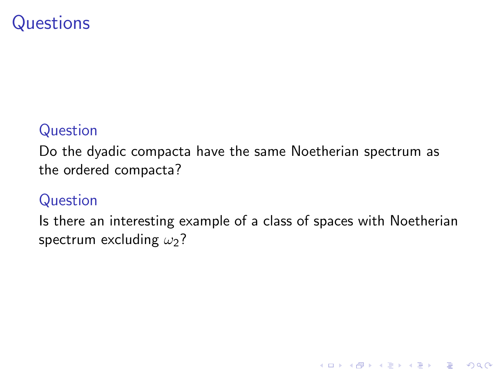## **Questions**

#### Question

Do the dyadic compacta have the same Noetherian spectrum as the ordered compacta?

#### Question

Is there an interesting example of a class of spaces with Noetherian spectrum excluding  $\omega_2$ ?

K ロ ▶ K @ ▶ K 할 > K 할 > 1 할 > 1 이익어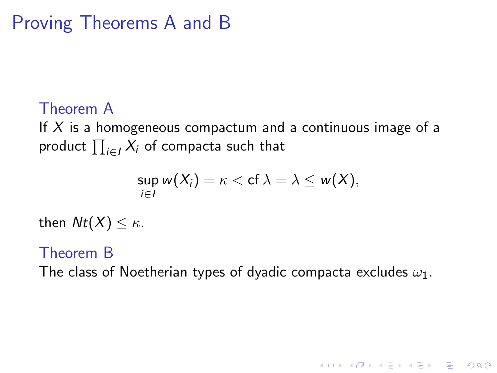# Proving Theorems A and B

### Theorem A

If  $X$  is a homogeneous compactum and a continuous image of a product  $\prod_{i\in I} X_i$  of compacta such that

$$
\sup_{i\in I} w(X_i)=\kappa < \mathrm{cf} \,\lambda=\lambda\leq w(X),
$$

then  $Nt(X) \leq \kappa$ .

#### Theorem B

The class of Noetherian types of dyadic compacta excludes  $\omega_1$ .

**K ロ ▶ K @ ▶ K 할 X X 할 X 및 할 X X Q Q O**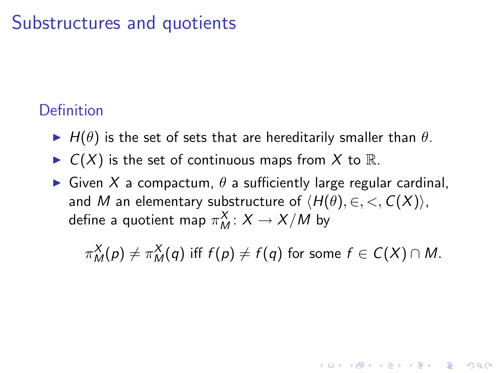## Substructures and quotients

#### Definition

- $\blacktriangleright$  H( $\theta$ ) is the set of sets that are hereditarily smaller than  $\theta$ .
- $\blacktriangleright$   $C(X)$  is the set of continuous maps from X to R.
- $\triangleright$  Given X a compactum,  $\theta$  a sufficiently large regular cardinal, and M an elementary substructure of  $\langle H(\theta), \in, <, C(X) \rangle$ , define a quotient map  $\pi^X_M\colon X\to X/M$  by

 $\pi_{M}^{X}(p) \neq \pi_{M}^{X}(q)$  iff  $f(p) \neq f(q)$  for some  $f \in \mathcal{C}(X) \cap M.$ 

**KORKAR KERKER E VOOR**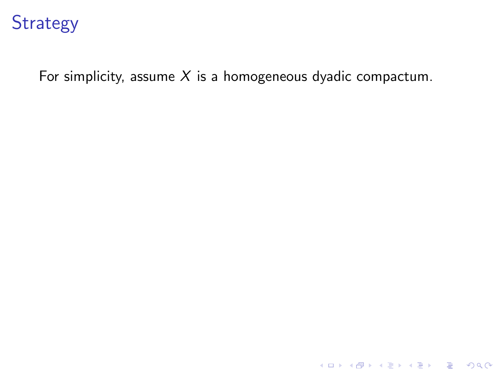For simplicity, assume  $X$  is a homogeneous dyadic compactum.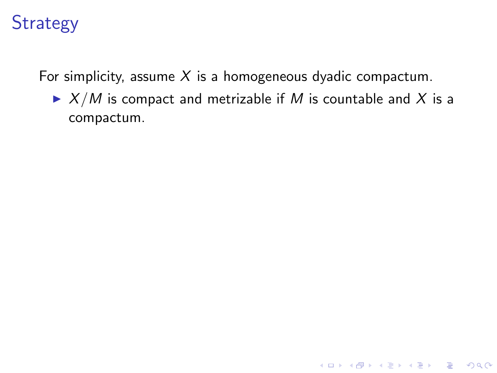For simplicity, assume  $X$  is a homogeneous dyadic compactum.

 $\blacktriangleright$   $X/M$  is compact and metrizable if M is countable and X is a compactum.

**K ロ ▶ K @ ▶ K 할 X X 할 X 및 할 X X Q Q O \***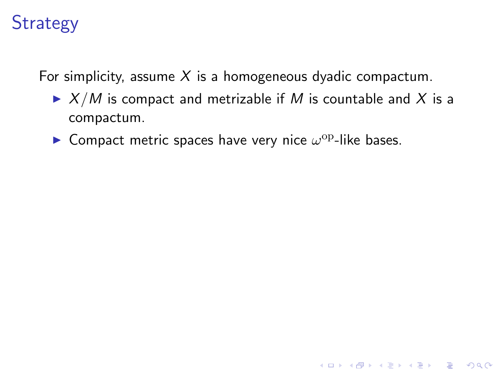For simplicity, assume  $X$  is a homogeneous dyadic compactum.

 $\blacktriangleright$   $X/M$  is compact and metrizable if M is countable and X is a compactum.

**K ロ ▶ K @ ▶ K 할 X X 할 X 및 할 X X Q Q O** 

**Compact metric spaces have very nice**  $\omega^{\rm op}$ **-like bases.**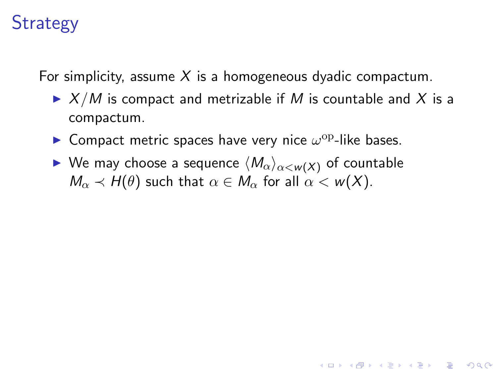For simplicity, assume X is a homogeneous dyadic compactum.

 $\triangleright$  X/M is compact and metrizable if M is countable and X is a compactum.

**K ロ ▶ K @ ▶ K 할 X X 할 X 및 할 X X Q Q O** 

- **Compact metric spaces have very nice**  $\omega^{\rm op}$ **-like bases.**
- $\blacktriangleright$  We may choose a sequence  $\langle M_{\alpha}\rangle_{\alpha\leq w(X)}$  of countable  $M_{\alpha} \prec H(\theta)$  such that  $\alpha \in M_{\alpha}$  for all  $\alpha < w(X)$ .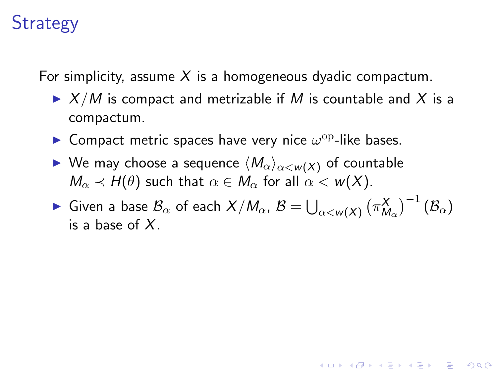For simplicity, assume  $X$  is a homogeneous dyadic compactum.

- $\triangleright$  X/M is compact and metrizable if M is countable and X is a compactum.
- **Compact metric spaces have very nice**  $\omega^{\rm op}$ **-like bases.**
- $\blacktriangleright$  We may choose a sequence  $\langle M_{\alpha}\rangle_{\alpha\leq w(X)}$  of countable  $M_{\alpha} \prec H(\theta)$  such that  $\alpha \in M_{\alpha}$  for all  $\alpha < w(X)$ .

 $\blacktriangleright$  Given a base  $\mathcal{B}_\alpha$  of each  $X/M_\alpha$ ,  $\mathcal{B}=\bigcup_{\alpha< w(X)}\big(\pi^X_{M_\alpha}\big)^{-1}\,(\mathcal{B}_\alpha)$ is a base of  $X$ .

4 D > 4 P + 4 B + 4 B + B + 9 Q O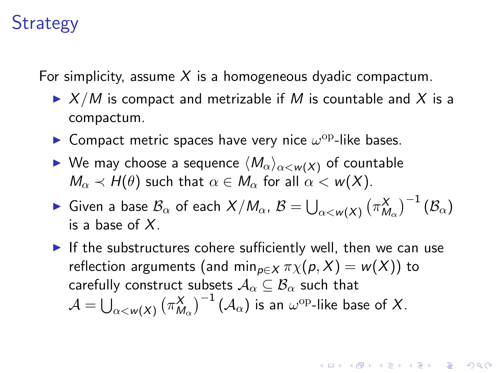For simplicity, assume  $X$  is a homogeneous dyadic compactum.

- $\triangleright$  X/M is compact and metrizable if M is countable and X is a compactum.
- **Compact metric spaces have very nice**  $\omega^{\rm op}$ **-like bases.**
- $\blacktriangleright$  We may choose a sequence  $\langle M_{\alpha}\rangle_{\alpha\leq w(X)}$  of countable  $M_{\alpha} \prec H(\theta)$  such that  $\alpha \in M_{\alpha}$  for all  $\alpha < w(X)$ .
- $\blacktriangleright$  Given a base  $\mathcal{B}_\alpha$  of each  $X/M_\alpha$ ,  $\mathcal{B}=\bigcup_{\alpha< w(X)}\big(\pi^X_{M_\alpha}\big)^{-1}\,(\mathcal{B}_\alpha)$ is a base of  $X$ .
- If the substructures cohere sufficiently well, then we can use reflection arguments (and min<sub>p∈X</sub>  $\pi \chi(p, X) = w(X)$ ) to carefully construct subsets  $A_{\alpha} \subseteq B_{\alpha}$  such that  $\mathcal{A}=\bigcup_{\alpha< w(X)}\big(\pi^X_{M_\alpha}\big)^{-1}\left(\mathcal{A}_\alpha\right)$  is an  $\omega^{\mathrm{op}}$ -like base of  $X.$

**KORKAR KERKER E VOOR**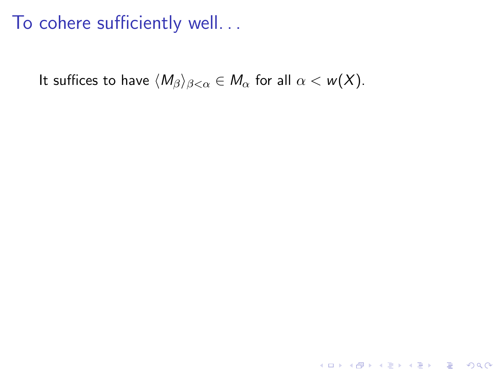It suffices to have  $\langle M_{\beta}\rangle_{\beta<\alpha}\in M_{\alpha}$  for all  $\alpha< w(X)$ .

K ロ ▶ K @ ▶ K 할 ▶ K 할 ▶ | 할 | ⊙Q @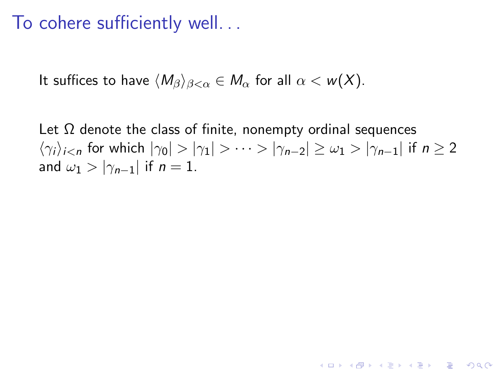It suffices to have  $\langle M_\beta \rangle_{\beta < \alpha} \in M_\alpha$  for all  $\alpha < w(X)$ .

Let  $\Omega$  denote the class of finite, nonempty ordinal sequences  $\langle \gamma_i \rangle_{i \le n}$  for which  $|\gamma_0| > |\gamma_1| > \cdots > |\gamma_{n-2}| \ge \omega_1 > |\gamma_{n-1}|$  if  $n \ge 2$ and  $\omega_1 > |\gamma_{n-1}|$  if  $n = 1$ .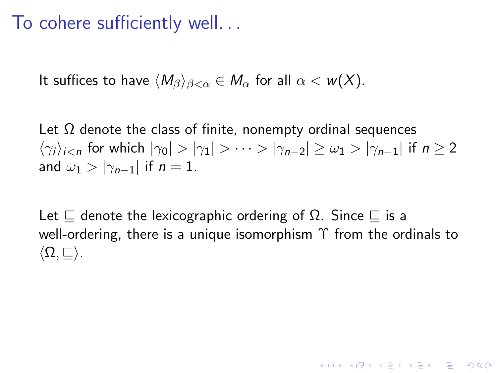It suffices to have  $\langle M_{\beta}\rangle_{\beta<\alpha}\in M_{\alpha}$  for all  $\alpha<\omega(X)$ .

Let  $\Omega$  denote the class of finite, nonempty ordinal sequences  $\langle \gamma_i \rangle_{i \le n}$  for which  $|\gamma_0| > |\gamma_1| > \cdots > |\gamma_{n-2}| \ge \omega_1 > |\gamma_{n-1}|$  if  $n \ge 2$ and  $\omega_1 > |\gamma_{n-1}|$  if  $n = 1$ .

Let  $\sqsubseteq$  denote the lexicographic ordering of  $\Omega$ . Since  $\sqsubseteq$  is a well-ordering, there is a unique isomorphism  $\Upsilon$  from the ordinals to  $\langle \Omega,\sqsubseteq \rangle$ .

**KORKAR KERKER E VOOR**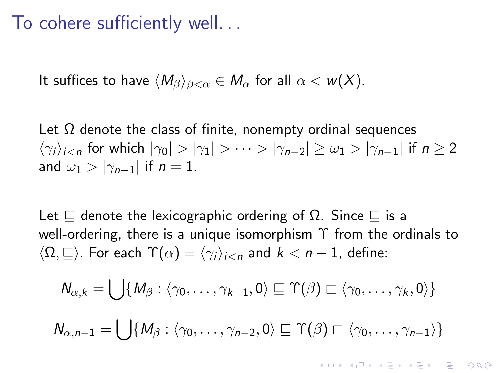It suffices to have  $\langle M_\beta \rangle_{\beta < \alpha} \in M_\alpha$  for all  $\alpha < w(X)$ .

Let  $\Omega$  denote the class of finite, nonempty ordinal sequences  $\langle \gamma_i \rangle_{i \le n}$  for which  $|\gamma_0| > |\gamma_1| > \cdots > |\gamma_{n-2}| \ge \omega_1 > |\gamma_{n-1}|$  if  $n \ge 2$ and  $\omega_1 > |\gamma_{n-1}|$  if  $n = 1$ .

Let  $\sqsubseteq$  denote the lexicographic ordering of  $\Omega$ . Since  $\sqsubseteq$  is a well-ordering, there is a unique isomorphism  $\Upsilon$  from the ordinals to  $\langle \Omega, \square \rangle$ . For each  $\Upsilon(\alpha) = \langle \gamma_i \rangle_{i \leq n}$  and  $k < n - 1$ , define:

$$
N_{\alpha,k} = \bigcup \{M_\beta : \langle \gamma_0, \ldots, \gamma_{k-1}, 0 \rangle \sqsubseteq \Upsilon(\beta) \sqsubset \langle \gamma_0, \ldots, \gamma_k, 0 \rangle \}
$$

$$
N_{\alpha,n-1}=\bigcup\{M_\beta:\langle\gamma_0,\ldots,\gamma_{n-2},0\rangle\sqsubseteq \Upsilon(\beta)\sqsubset\langle\gamma_0,\ldots,\gamma_{n-1}\rangle\}
$$

**KORKAR KERKER E VOOR**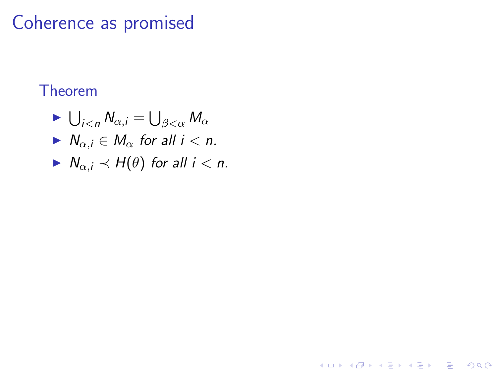## Coherence as promised

#### Theorem

- $\blacktriangleright \bigcup_{i < n} N_{\alpha,i} = \bigcup_{\beta < \alpha} M_{\alpha}$
- $N_{\alpha,i} \in M_{\alpha}$  for all  $i < n$ .
- $N_{\alpha,i} \prec H(\theta)$  for all  $i < n$ .

K ロ ▶ K @ ▶ K 할 > K 할 > 1 할 > 1 이익어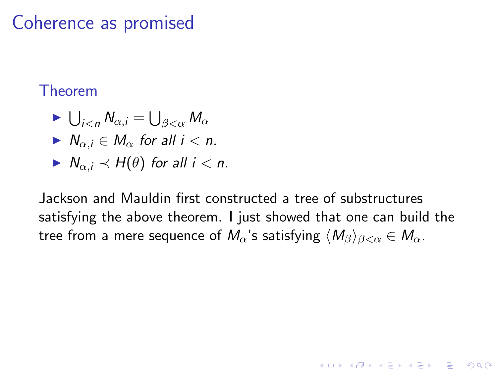## Coherence as promised

#### Theorem

- $\blacktriangleright \bigcup_{i < n} N_{\alpha,i} = \bigcup_{\beta < \alpha} M_{\alpha}$  $N_{\alpha,i} \in M_{\alpha}$  for all  $i < n$ .  $\blacktriangleright N_{\alpha,i} \prec H(\theta)$  for all  $i < n$ .
- Jackson and Mauldin first constructed a tree of substructures satisfying the above theorem. I just showed that one can build the tree from a mere sequence of  $M_{\alpha}$ 's satisfying  $\langle M_{\beta} \rangle_{\beta < \alpha} \in M_{\alpha}$ .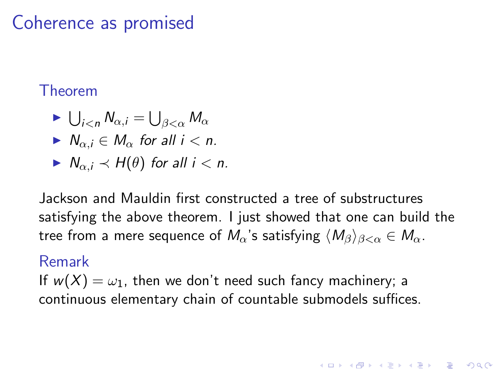## Coherence as promised

#### Theorem

 $\blacktriangleright \bigcup_{i < n} N_{\alpha,i} = \bigcup_{\beta < \alpha} M_{\alpha}$  $N_{\alpha i} \in M_{\alpha}$  for all  $i < n$ .  $\blacktriangleright N_{\alpha,i} \prec H(\theta)$  for all  $i < n$ .

Jackson and Mauldin first constructed a tree of substructures satisfying the above theorem. I just showed that one can build the tree from a mere sequence of  $M_{\alpha}$ 's satisfying  $\langle M_{\beta} \rangle_{\beta < \alpha} \in M_{\alpha}$ .

**KORKAR KERKER E VOOR** 

#### Remark

If  $w(X) = \omega_1$ , then we don't need such fancy machinery; a continuous elementary chain of countable submodels suffices.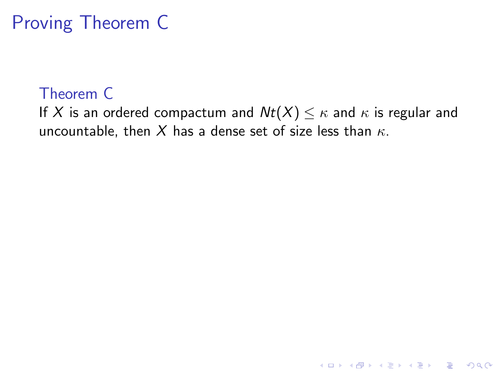#### Theorem C

If X is an ordered compactum and  $Nt(X) \leq \kappa$  and  $\kappa$  is regular and uncountable, then X has a dense set of size less than  $\kappa$ .

K ロ ▶ K @ ▶ K 할 ▶ K 할 ▶ | 할 | © 9 Q @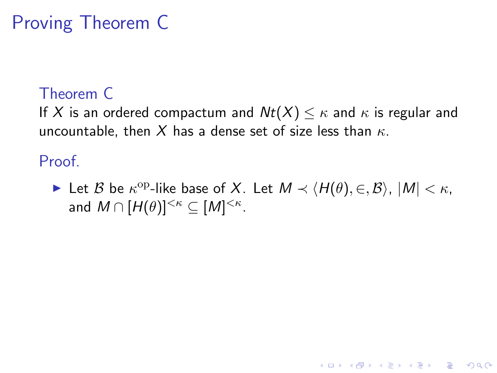#### Theorem C

If X is an ordered compactum and  $Nt(X) \leq \kappa$  and  $\kappa$  is regular and uncountable, then X has a dense set of size less than  $\kappa$ .

Proof.

► Let  $\mathcal B$  be  $\kappa^{\text{op-like}}$  base of X. Let  $M \prec \langle H(\theta), \in, \mathcal B \rangle$ ,  $|M| < \kappa$ , and  $M \cap [H(\theta)]^{<\kappa} \subseteq [M]^{<\kappa}$ .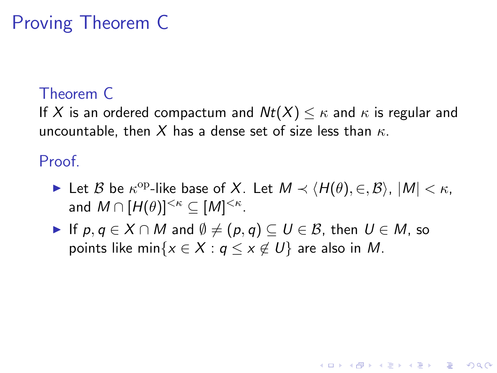#### Theorem C

If X is an ordered compactum and  $Nt(X) \leq \kappa$  and  $\kappa$  is regular and uncountable, then X has a dense set of size less than  $\kappa$ .

Proof.

► Let  $\mathcal B$  be  $\kappa^{\text{op-like}}$  base of X. Let  $M \prec \langle H(\theta), \in, \mathcal B \rangle$ ,  $|M| < \kappa$ , and  $M \cap [H(\theta)]^{<\kappa} \subseteq [M]^{<\kappa}$ .

**KORKARA KERKER SAGA** 

If  $p, q \in X \cap M$  and  $\emptyset \neq (p, q) \subseteq U \in \mathcal{B}$ , then  $U \in M$ , so points like min $\{x \in X : q \le x \notin U\}$  are also in M.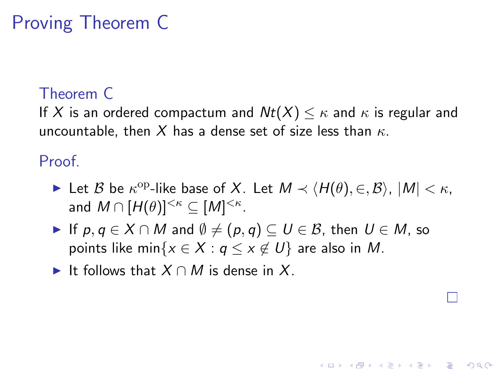#### Theorem C

If X is an ordered compactum and  $Nt(X) \leq \kappa$  and  $\kappa$  is regular and uncountable, then X has a dense set of size less than  $\kappa$ .

Proof.

► Let  $\mathcal B$  be  $\kappa^{\text{op-like}}$  base of X. Let  $M \prec \langle H(\theta), \in, \mathcal B \rangle$ ,  $|M| < \kappa$ , and  $M \cap [H(\theta)]^{<\kappa} \subseteq [M]^{<\kappa}$ .

**KORKARA KERKER SAGA** 

- If  $p, q \in X \cap M$  and  $\emptyset \neq (p, q) \subseteq U \in \mathcal{B}$ , then  $U \in M$ , so points like min $\{x \in X : q \le x \notin U\}$  are also in M.
- It follows that  $X \cap M$  is dense in X.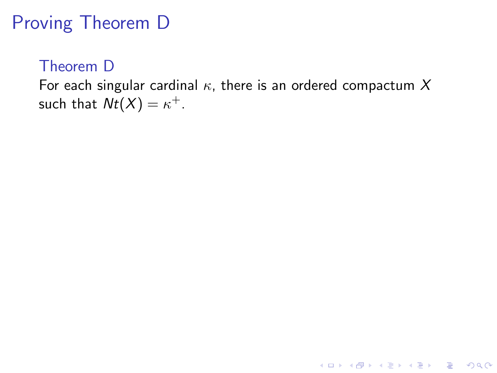#### Theorem D

For each singular cardinal  $\kappa$ , there is an ordered compactum X such that  $Nt(X) = \kappa^+$ .

K ロ ▶ K @ ▶ K 할 ▶ K 할 ▶ | 할 | © 9 Q @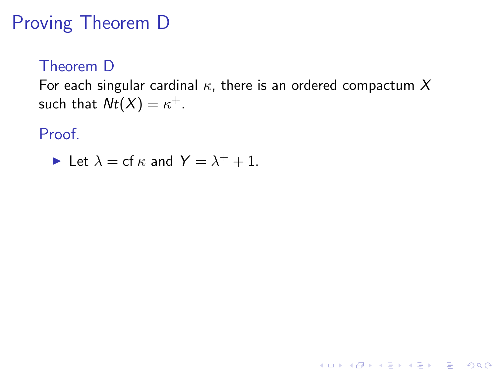#### Theorem D

For each singular cardinal  $\kappa$ , there is an ordered compactum X such that  $Nt(X) = \kappa^+$ .

Proof.

Let 
$$
\lambda = \text{cf } \kappa
$$
 and  $Y = \lambda^+ + 1$ .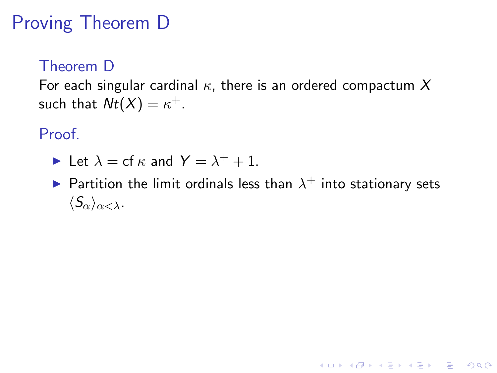#### Theorem D

For each singular cardinal  $\kappa$ , there is an ordered compactum X such that  $Nt(X) = \kappa^+$ .

#### Proof.

- In Let  $\lambda = cf \kappa$  and  $Y = \lambda^+ + 1$ .
- $\blacktriangleright$  Partition the limit ordinals less than  $\lambda^+$  into stationary sets  $\langle S_{\alpha}\rangle_{\alpha<\lambda}$ .

K ロ ▶ K @ ▶ K 할 > K 할 > 1 할 > 1 이익어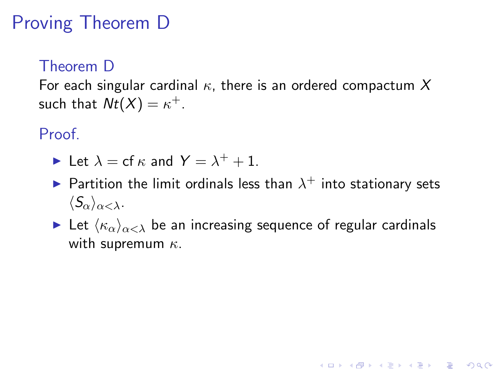#### Theorem D

For each singular cardinal  $\kappa$ , there is an ordered compactum X such that  $Nt(X) = \kappa^+$ .

#### Proof.

- In Let  $\lambda = cf \kappa$  and  $Y = \lambda^+ + 1$ .
- $\blacktriangleright$  Partition the limit ordinals less than  $\lambda^+$  into stationary sets  $\langle S_{\alpha}\rangle_{\alpha<\lambda}$ .
- Let  $\langle \kappa_{\alpha} \rangle_{\alpha < \lambda}$  be an increasing sequence of regular cardinals with supremum  $\kappa$ .

**K ロ ▶ K @ ▶ K 할 X X 할 X 및 할 X X Q Q O**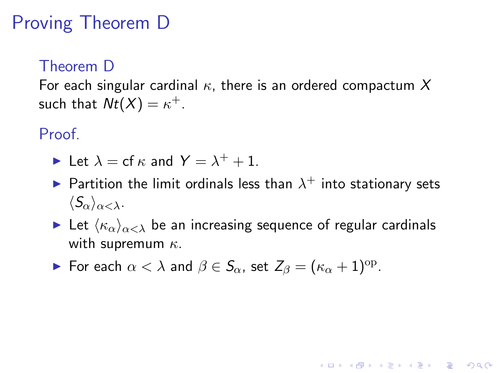#### Theorem D

For each singular cardinal  $\kappa$ , there is an ordered compactum X such that  $Nt(X) = \kappa^+$ .

Proof.

- In Let  $\lambda = cf \kappa$  and  $Y = \lambda^+ + 1$ .
- $\blacktriangleright$  Partition the limit ordinals less than  $\lambda^+$  into stationary sets  $\langle S_{\alpha}\rangle_{\alpha<\lambda}$ .
- Let  $\langle \kappa_{\alpha} \rangle_{\alpha < \lambda}$  be an increasing sequence of regular cardinals with supremum  $\kappa$ .

**KORKAR KERKER E VOOR** 

► For each  $\alpha < \lambda$  and  $\beta \in S_\alpha$ , set  $Z_\beta = (\kappa_\alpha + 1)^\text{op}$ .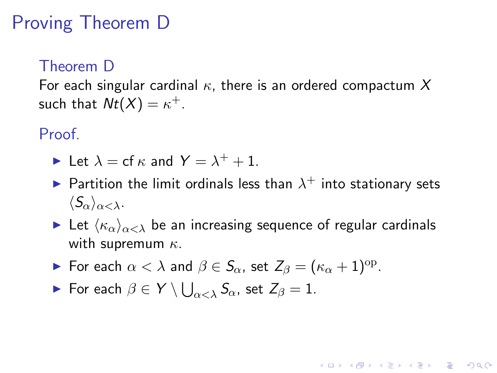#### Theorem D

For each singular cardinal  $\kappa$ , there is an ordered compactum X such that  $Nt(X) = \kappa^+$ .

#### Proof.

- In Let  $\lambda = cf \kappa$  and  $Y = \lambda^+ + 1$ .
- $\blacktriangleright$  Partition the limit ordinals less than  $\lambda^+$  into stationary sets  $\langle S_{\alpha}\rangle_{\alpha<\lambda}$ .
- Let  $\langle \kappa_{\alpha} \rangle_{\alpha < \lambda}$  be an increasing sequence of regular cardinals with supremum  $\kappa$ .

**KORKAR KERKER E VOOR** 

- ► For each  $\alpha < \lambda$  and  $\beta \in S_\alpha$ , set  $Z_\beta = (\kappa_\alpha + 1)^\text{op}$ .
- $\blacktriangleright$  For each  $\beta \in Y \setminus \bigcup_{\alpha < \lambda} \mathcal{S}_\alpha$ , set  $Z_\beta = 1$ .